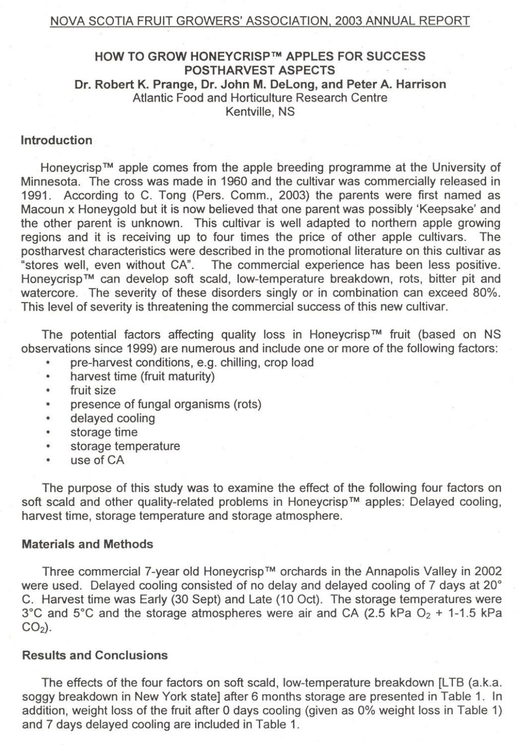#### NOVA SCOTIA FRUIT GROWERS' ASSOCIATION. 2003 ANNUAL REPORT

## HOW TO GROW HONEYCRISP™ APPLES FOR SUCCESS POSTHARVEST ASPECTS Dr. Robert K. Prange, Dr. John M. DeLong, and Peter A. Harrison Atlantic Food and Horticulture Research Centre Kentville, NS

## Introduction

Honeycrisp™ apple comes from the apple breeding programme at the University of Minnesata. The cross was made in 1960 and the cultivar was commercially released in 1991. According to C. Tong (Pers. Comm., 2003) the parents were first named as Macoun x Honeygold but it is now believed that one parent was possibly 'Keepsake' and the other parent is unknown. This cultivar is well adapted to northern apple growing<br>regions and it is receiving up to four times the price of other apple cultivars. The regions and it is receiving up to four times the price of other apple cultivars. postharvest characteristics were described in the promotional literature on this cultivar as "stares weil, even withaut CA". The cammercial experience has been less pasitive. Honeycrisp™ can develop soft scald, low-temperature breakdown, rots, bitter pit and watercore. The severity of these disorders singly or in combination can exceed 80%. This level of severity is threatening the commercial success of this new cultivar.

The potential factors affecting quality loss in Honeycrisp™ fruit (based on NS observations since 1999) are numerous and include one or more of the following factors:

- pre-harvest conditions, e.g. chilling, crop load
- . harvest time (fruit maturity) . fruit size
- 
- presence of fungal organisms (rots)
- . delayed cooling
- storage time
- storage temperature<br>• use of CA
- 

The purpose of this study was to examine the effect of the following four factors on soft scald and other quality-related problems in Honeycrisp™ apples: Delayed cooling, harvest time, storage temperature and storage atmosphere.

### Materials and Methods

Three commercial 7-year old Honeycrisp™ orchards in the Annapolis Valley in 2002 were used. Delayed cooling consisted of no delay and delayed cooling of 7 days at 20° C. Harvest time was Early (30 Sept) and Late (10 Oct). The storage temperatures were 3°C and 5°C and the storage atmospheres were air and CA (2.5 kPa  $O<sub>2</sub>$  + 1-1.5 kPa  $CO<sub>2</sub>$ ).

## Results and Conclusions

The effects of the four factors on soft scald, low-temperature breakdown [LTB (a.k.a. soggy breakdown in New York state] after 6 months storage are presented in Table 1. In addition, weight loss of the fruit after 0 days cooling (given as 0% weight loss in Table 1) and 7 days delayed cooling are included in Table 1.